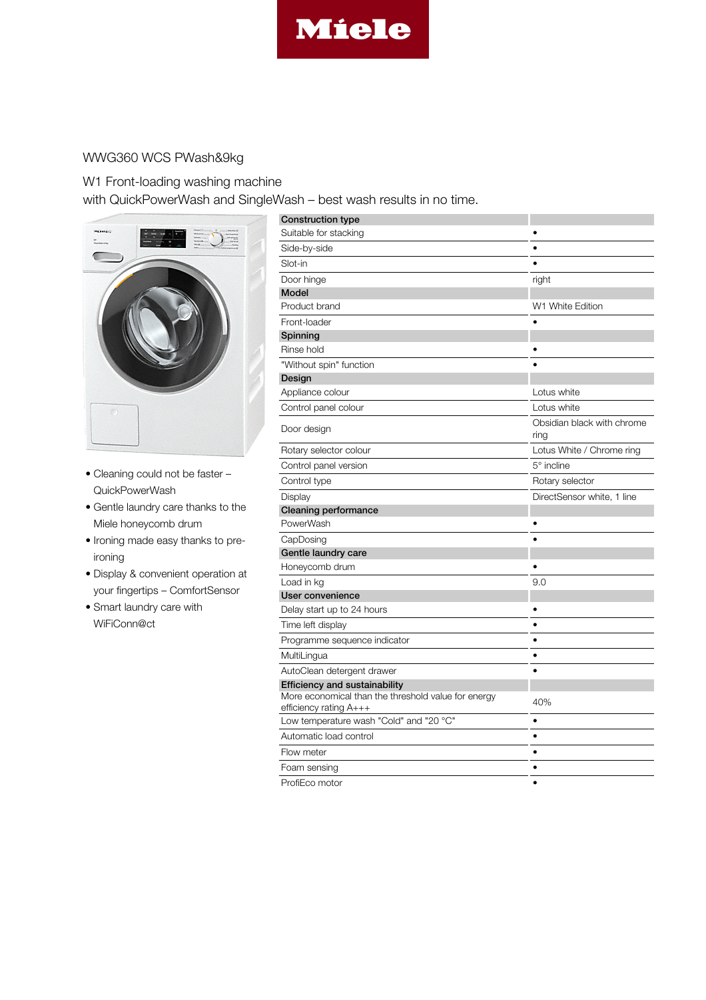

## WWG360 WCS PWash&9kg

## W1 Front-loading washing machine

with QuickPowerWash and SingleWash – best wash results in no time.



- Cleaning could not be faster QuickPowerWash
- Gentle laundry care thanks to the Miele honeycomb drum
- Ironing made easy thanks to preironing
- Display & convenient operation at your fingertips – ComfortSensor
- Smart laundry care with WiFiConn@ct

| <b>Construction type</b>                                                      |                            |
|-------------------------------------------------------------------------------|----------------------------|
| Suitable for stacking                                                         |                            |
| Side-by-side                                                                  | ٠                          |
| Slot-in                                                                       | $\bullet$                  |
| Door hinge                                                                    | right                      |
| <b>Model</b>                                                                  |                            |
| Product brand                                                                 | W1 White Edition           |
| Front-loader                                                                  |                            |
| Spinning                                                                      |                            |
| Rinse hold                                                                    |                            |
| "Without spin" function                                                       |                            |
| Design                                                                        |                            |
| Appliance colour                                                              | Lotus white                |
| Control panel colour                                                          | Lotus white                |
| Door design                                                                   | Obsidian black with chrome |
|                                                                               | ring                       |
| Rotary selector colour                                                        | Lotus White / Chrome ring  |
| Control panel version                                                         | $5^\circ$ incline          |
| Control type                                                                  | Rotary selector            |
| Display                                                                       | DirectSensor white, 1 line |
| <b>Cleaning performance</b>                                                   |                            |
| PowerWash                                                                     |                            |
| CapDosing                                                                     |                            |
| Gentle laundry care                                                           |                            |
| Honeycomb drum                                                                |                            |
| Load in kg                                                                    | 9.0                        |
| User convenience                                                              |                            |
| Delay start up to 24 hours                                                    |                            |
| Time left display                                                             | $\bullet$                  |
| Programme sequence indicator                                                  | ٠                          |
| MultiLingua                                                                   | $\bullet$                  |
| AutoClean detergent drawer                                                    |                            |
| <b>Efficiency and sustainability</b>                                          |                            |
| More economical than the threshold value for energy<br>efficiency rating A+++ | 40%                        |
| Low temperature wash "Cold" and "20 °C"                                       | $\bullet$                  |
| Automatic load control                                                        | $\bullet$                  |
| Flow meter                                                                    | $\bullet$                  |
| Foam sensing                                                                  | $\bullet$                  |
| ProfiEco motor                                                                | $\bullet$                  |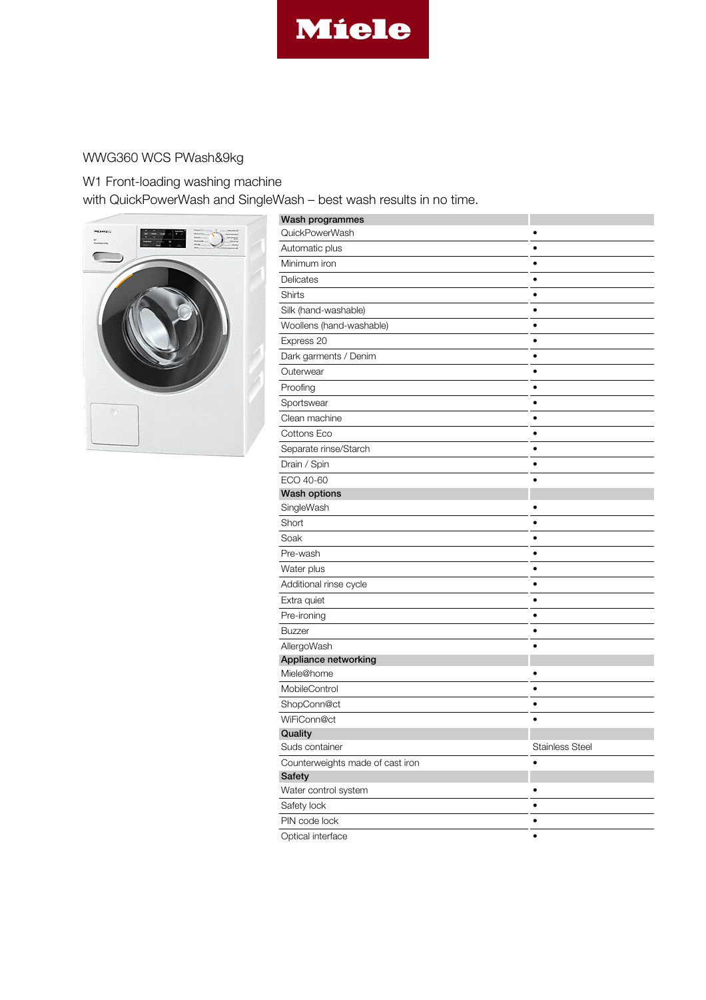

## WWG360 WCS PWash&9kg

W1 Front-loading washing machine with QuickPowerWash and SingleWash – best wash results in no time.



| Wash programmes                            |                        |
|--------------------------------------------|------------------------|
| QuickPowerWash                             |                        |
| Automatic plus                             |                        |
| Minimum iron                               |                        |
| Delicates                                  | $\bullet$              |
| Shirts                                     | $\bullet$              |
| Silk (hand-washable)                       |                        |
| Woollens (hand-washable)                   | $\bullet$              |
| Express 20                                 | $\bullet$              |
| Dark garments / Denim                      | $\bullet$              |
| Outerwear                                  | $\bullet$              |
| Proofing                                   | ٠                      |
| Sportswear                                 | $\bullet$              |
| Clean machine                              | $\bullet$              |
| Cottons Eco                                | $\bullet$              |
| Separate rinse/Starch                      |                        |
| Drain / Spin                               | $\bullet$              |
| ECO 40-60                                  |                        |
| <b>Wash options</b>                        |                        |
| SingleWash                                 | $\bullet$              |
| Short                                      | $\bullet$              |
| Soak                                       | ٠                      |
| Pre-wash                                   | $\bullet$              |
| Water plus                                 | $\bullet$              |
| Additional rinse cycle                     | $\bullet$              |
| Extra quiet                                | $\bullet$              |
| Pre-ironing                                | ٠                      |
| <b>Buzzer</b>                              | ٠                      |
| AllergoWash                                | $\bullet$              |
| Appliance networking                       |                        |
| Miele@home                                 |                        |
| MobileControl                              | $\bullet$              |
| ShopConn@ct                                | $\bullet$              |
| WiFiConn@ct                                | $\bullet$              |
| Quality                                    |                        |
| Suds container                             | <b>Stainless Steel</b> |
| Counterweights made of cast iron<br>Safety | $\bullet$              |
| Water control system                       |                        |
| Safety lock                                | ٠                      |
| PIN code lock                              | $\bullet$              |
| Optical interface                          |                        |
|                                            |                        |